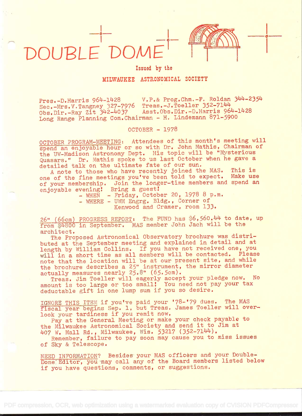

o

Issued by the

## MILWAUKEE ASTRONOMICAL SOCIETY

Pres.-D.Harris 964-1428 V.P.& Prog.Chm.-F. Roldan 344-2354<br>Sec.-Mrs.V.Tangney 327-7976 Treas.-J.Toeller 352-7144 Sec.-Mrs.V.Tangney 327-7976 Treas.-J.Toeller 352-7144<br>Obs.Dir.-Ray Zit 342-4037 Asst.Obs.Dir.-D.Harris 964-1428 Obs.Dir.-Ray Zit 342-4037 Long Range Planning Com.Chairman - H. Lindemann 871-5900

OCTOBER - 1978

OCTOBER PROGRAM-MEETING: Attendees of this month's meeting will spend an enjoyable hour or so with Dr. John Mathis, Chairman of the UW-Madison Astronomy Dept. His topic will be "Mysterious Quasars." Dr. Mathis spoke to us last October when he gave <sup>a</sup> detailed talk on the ultimate fate of our sun.

A note to those who have recently joined the MAS. This is one of the fine meetings you've been told to expect. Make use of your membership. Join the longer-time members and spend an enjoyable evening! Bring a guest!

- WHEN - Friday, October 20, 1978 8 p.m.

- WHERE - UWM Engrg. Bldg. , Corner of

Kenwood and Cramer, room 133.

26" (66cm) PROGRESS REPORT: The FUND has \$6,560.44 to date, up from \$4800 in September. MAS member John Jach will be the architect.

The Proposed Astronomical Observatory brochure was distributed at the September meeting and explained in detail and at length by William Collins. If you have not received one, you will in a short time as all members will be contacted. Please note that the location will be at our present site, and while the brochure describes a 25" instrument, the mirror diameter actually measures nearly 25.8" (65.5cm).

Treas. Jim Toeller will eagerly accept your pledge now. No amount is too large or too small! You need not pay your tax deductable gift in one lump sum if you so desire.

IGNORE THIS ITEM if you've paid your '78-'79 dues. The MAS fiscal year begins Sep. 1, but Treas. James Toeller will overlook your tardiness if you remit now,

Pay at the General Meeting or make your check payable to the Milwaukee Astronomical Society and send it to Jim at 407 W. Mall Rd., Milwaukee, Wis. 53217 (352-7144).

Remember, failure to pay soon may cause you to miss issues of Sky & Telescope.

NEED INFORMATION? Besides your MAS officérs and your Double-Dome Editor, you may call any of the Board members listed below if you have questions, comments, or suggestions.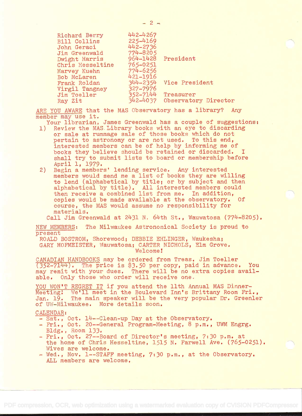| Richard Berry       | 442-4267 |                      |
|---------------------|----------|----------------------|
| <b>Bill Collins</b> | 225-4169 |                      |
| John Geraci         | 442-2736 |                      |
| Jim Greenwald       | 774-8205 |                      |
| Dwight Harris       |          | 964-1428 President   |
| Chris Hesseltine    | 765-0251 |                      |
| Harvey Kuehn        | 774-6256 |                      |
| Bob McLaren         | 421-1916 |                      |
| Frank Roldan        | 344-2354 | Vice President       |
| Virgil Tangney      | 327-7976 |                      |
| Jim Toeller         | 352-7144 | Treasurer            |
| Ray Zit             | 342-4037 | Observatory Director |

ARE YOU AWARE that the MAS Observatory has a library? Any member may use it.

Your librarian, James Greenwald has a couple of suggestions:

- 1) Review the MASLibrary books with an eye to discarding or sale at rummage sale of those books which do not pertain to astronomy or are not used. To this end, interested members can be of help by informing me of' books they believe should be retained or discarded. <sup>I</sup> shall try to submit lists to board or membership before April 1, 1979.
- 2) Begin a members' lending service. Any interested members would send me a list of books they are willing to lend (alphabetical by title; or by subject and then alphabetical by title). All interested members could then receive a combined list from me. In addition, copies would be made available at the observatory. Of course, the MAS would assume no responsibility for materials.

Call Jim Greenwald at 2431 N. 64th St., Wauwatosa (774-8205).

NEW MEMBERS: The Milwaukee Astronomical Society is proud to pre sent

ROALD BOSTROM, Shorewood; DEBBIE EHLINGER, Waukesha; GARY HOFMEISTER, Wauwatosa; CARTER NICHOLS, Elm Grove. Welcome!

CANADIAN HANDBOOKS may be ordered from Treas. Jim Toeller<br>(352-7144). The price is \$3.50 per copy, paid in advance. You  $(352-7144)$ . The price is \$3.50 per copy, paid in advance. may remit with your dues, There will be no extra copies available. Only those who order will receive one.

YOU WON'T REGRET IT if you attend the 11th Annual MAS Dinner-Meeting: We'll meet in the Boulevard Inn's Brittany Room Fri., Jan. 19. The main speaker will be the very popular Dr. Greenler of UW-Milwaukee. More details soon.

## CALENDAR:

- Sat., Oct. 14 -- Clean-up Day at the Observatory.
- Fri., Oct. 20--General Program-Meeting, 8 p.m., UWM Engrg. Bldg. , Room 133.
- Fri., Oct. 27--Board of Director's meeting, 7:30 p.m. at the home of Chris Hesseltine, 1515 N. Farwell Ave. (765-0251). Wives are welcome.
- Wed., Nov. 1--STAFF meeting, 7:30 p.m., at the Observatory. ALL members are welcome.

-2-